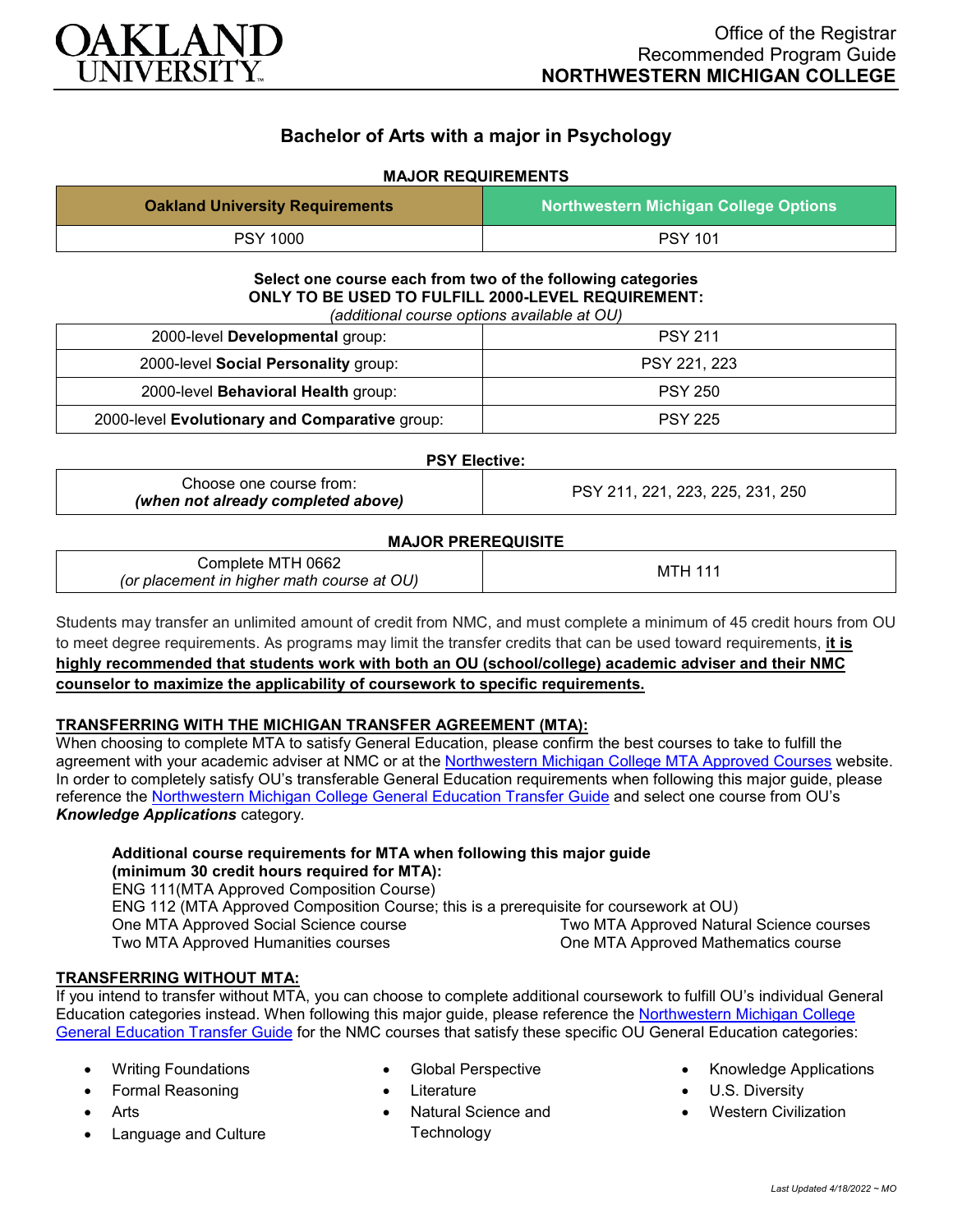

# **Bachelor of Arts with a major in Psychology**

# **MAJOR REQUIREMENTS**

| <b>Oakland University Requirements</b>                                                                                                                           | <b>Northwestern Michigan College Options</b> |
|------------------------------------------------------------------------------------------------------------------------------------------------------------------|----------------------------------------------|
| <b>PSY 1000</b>                                                                                                                                                  | <b>PSY 101</b>                               |
| Select one course each from two of the following categories<br>ONLY TO BE USED TO FULFILL 2000-LEVEL REQUIREMENT:<br>(additional course options available at OU) |                                              |
| 2000-level Developmental group:                                                                                                                                  | <b>PSY 211</b>                               |
| 2000-level Social Personality group:                                                                                                                             | PSY 221, 223                                 |
| 2000-level Behavioral Health group:                                                                                                                              | <b>PSY 250</b>                               |
| 2000-level Evolutionary and Comparative group:                                                                                                                   | <b>PSY 225</b>                               |
| <b>PSY Elective:</b>                                                                                                                                             |                                              |
| Choose one course from:<br>(when not already completed above)                                                                                                    | PSY 211, 221, 223, 225, 231, 250             |
| <b>MAJOR PREREQUISITE</b>                                                                                                                                        |                                              |
| Complete MTH 0662<br>(or placement in higher math course at OU)                                                                                                  | <b>MTH 111</b>                               |

Students may transfer an unlimited amount of credit from NMC, and must complete a minimum of 45 credit hours from OU to meet degree requirements. As programs may limit the transfer credits that can be used toward requirements, **it is highly recommended that students work with both an OU (school/college) academic adviser and their NMC counselor to maximize the applicability of coursework to specific requirements.**

# **TRANSFERRING WITH THE MICHIGAN TRANSFER AGREEMENT (MTA):**

When choosing to complete MTA to satisfy General Education, please confirm the best courses to take to fulfill the agreement with your academic adviser at NMC or at the [Northwestern Michigan College MTA Approved Courses](https://www.nmc.edu/programs/course-descriptions/group-1-courses-for-mta.pdf) website. In order to completely satisfy OU's transferable General Education requirements when following this major guide, please reference the [Northwestern Michigan College General Education Transfer Guide](https://www.oakland.edu/Assets/Oakland/program-guides/northwestern-michigan-college/university-general-education-requirements/Northwestern%20Gen%20Ed.pdf) and select one course from OU's *Knowledge Applications* category*.*

## **Additional course requirements for MTA when following this major guide (minimum 30 credit hours required for MTA):**

ENG 111(MTA Approved Composition Course) ENG 112 (MTA Approved Composition Course; this is a prerequisite for coursework at OU) One MTA Approved Social Science course Two MTA Approved Humanities courses Two MTA Approved Natural Science courses One MTA Approved Mathematics course

# **TRANSFERRING WITHOUT MTA:**

If you intend to transfer without MTA, you can choose to complete additional coursework to fulfill OU's individual General Education categories instead. When following this major guide, please reference the [Northwestern Michigan College](https://www.oakland.edu/Assets/Oakland/program-guides/northwestern-michigan-college/university-general-education-requirements/Northwestern%20Gen%20Ed.pdf)  [General Education Transfer Guide](https://www.oakland.edu/Assets/Oakland/program-guides/northwestern-michigan-college/university-general-education-requirements/Northwestern%20Gen%20Ed.pdf) for the NMC courses that satisfy these specific OU General Education categories:

- Writing Foundations
- Formal Reasoning
- **Arts**
- Language and Culture
- Global Perspective
- **Literature**
- Natural Science and **Technology**
- Knowledge Applications
- U.S. Diversity
- Western Civilization